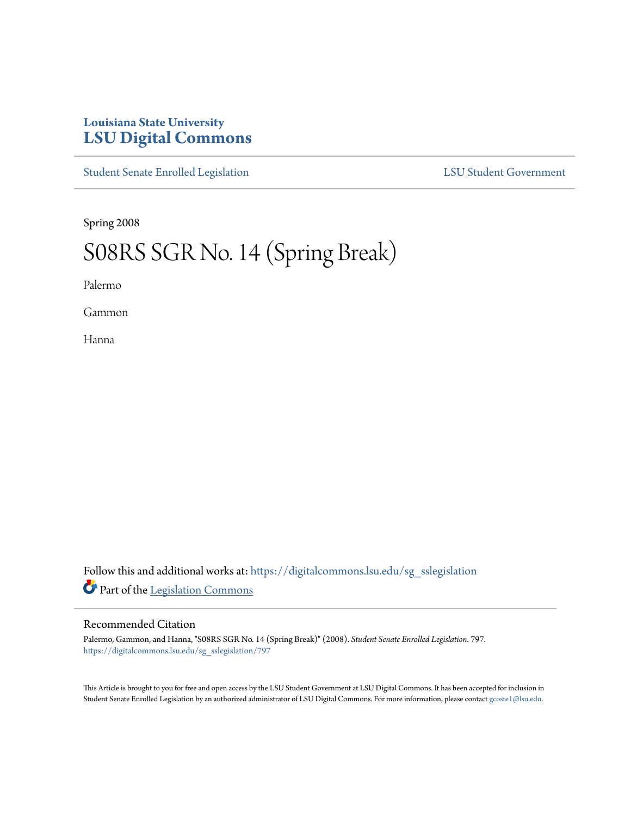## **Louisiana State University [LSU Digital Commons](https://digitalcommons.lsu.edu?utm_source=digitalcommons.lsu.edu%2Fsg_sslegislation%2F797&utm_medium=PDF&utm_campaign=PDFCoverPages)**

[Student Senate Enrolled Legislation](https://digitalcommons.lsu.edu/sg_sslegislation?utm_source=digitalcommons.lsu.edu%2Fsg_sslegislation%2F797&utm_medium=PDF&utm_campaign=PDFCoverPages) [LSU Student Government](https://digitalcommons.lsu.edu/sg?utm_source=digitalcommons.lsu.edu%2Fsg_sslegislation%2F797&utm_medium=PDF&utm_campaign=PDFCoverPages)

Spring 2008

# S08RS SGR No. 14 (Spring Break)

Palermo

Gammon

Hanna

Follow this and additional works at: [https://digitalcommons.lsu.edu/sg\\_sslegislation](https://digitalcommons.lsu.edu/sg_sslegislation?utm_source=digitalcommons.lsu.edu%2Fsg_sslegislation%2F797&utm_medium=PDF&utm_campaign=PDFCoverPages) Part of the [Legislation Commons](http://network.bepress.com/hgg/discipline/859?utm_source=digitalcommons.lsu.edu%2Fsg_sslegislation%2F797&utm_medium=PDF&utm_campaign=PDFCoverPages)

### Recommended Citation

Palermo, Gammon, and Hanna, "S08RS SGR No. 14 (Spring Break)" (2008). *Student Senate Enrolled Legislation*. 797. [https://digitalcommons.lsu.edu/sg\\_sslegislation/797](https://digitalcommons.lsu.edu/sg_sslegislation/797?utm_source=digitalcommons.lsu.edu%2Fsg_sslegislation%2F797&utm_medium=PDF&utm_campaign=PDFCoverPages)

This Article is brought to you for free and open access by the LSU Student Government at LSU Digital Commons. It has been accepted for inclusion in Student Senate Enrolled Legislation by an authorized administrator of LSU Digital Commons. For more information, please contact [gcoste1@lsu.edu.](mailto:gcoste1@lsu.edu)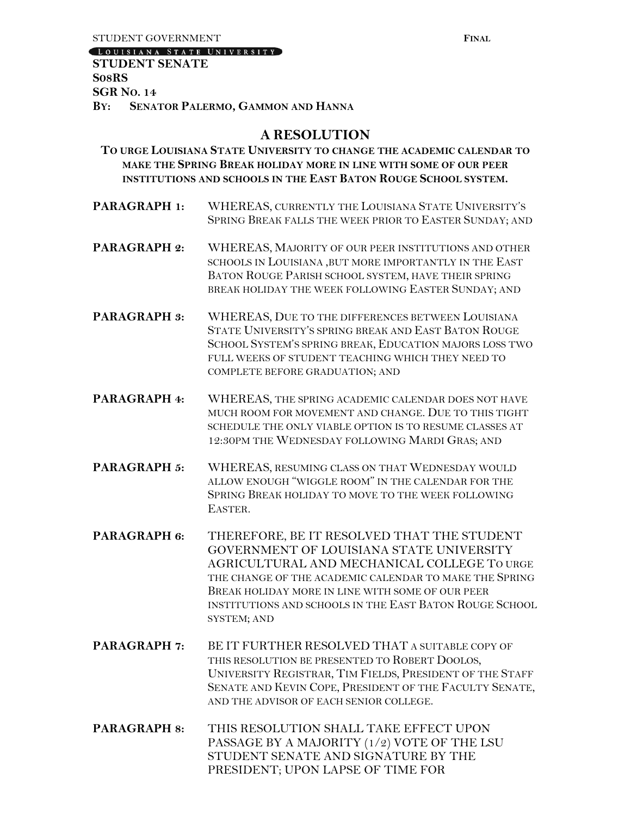[LOUISIANA STATE UNIVERSITY]

**STUDENT SENATE S08RS SGR NO. 14 BY: SENATOR PALERMO, GAMMON AND HANNA**

### **A RESOLUTION**

- **TO URGE LOUISIANA STATE UNIVERSITY TO CHANGE THE ACADEMIC CALENDAR TO MAKE THE SPRING BREAK HOLIDAY MORE IN LINE WITH SOME OF OUR PEER INSTITUTIONS AND SCHOOLS IN THE EAST BATON ROUGE SCHOOL SYSTEM.**
- **PARAGRAPH 1:** WHEREAS, CURRENTLY THE LOUISIANA STATE UNIVERSITY'S SPRING BREAK FALLS THE WEEK PRIOR TO EASTER SUNDAY; AND
- **PARAGRAPH 2:** WHEREAS, MAJORITY OF OUR PEER INSTITUTIONS AND OTHER SCHOOLS IN LOUISIANA ,BUT MORE IMPORTANTLY IN THE EAST BATON ROUGE PARISH SCHOOL SYSTEM, HAVE THEIR SPRING BREAK HOLIDAY THE WEEK FOLLOWING EASTER SUNDAY; AND
- **PARAGRAPH 3:** WHEREAS, DUE TO THE DIFFERENCES BETWEEN LOUISIANA STATE UNIVERSITY'S SPRING BREAK AND EAST BATON ROUGE SCHOOL SYSTEM'S SPRING BREAK, EDUCATION MAJORS LOSS TWO FULL WEEKS OF STUDENT TEACHING WHICH THEY NEED TO COMPLETE BEFORE GRADUATION; AND
- **PARAGRAPH 4:** WHEREAS, THE SPRING ACADEMIC CALENDAR DOES NOT HAVE MUCH ROOM FOR MOVEMENT AND CHANGE. DUE TO THIS TIGHT SCHEDULE THE ONLY VIABLE OPTION IS TO RESUME CLASSES AT 12:30PM THE WEDNESDAY FOLLOWING MARDI GRAS; AND
- **PARAGRAPH 5:** WHEREAS, RESUMING CLASS ON THAT WEDNESDAY WOULD ALLOW ENOUGH "WIGGLE ROOM" IN THE CALENDAR FOR THE SPRING BREAK HOLIDAY TO MOVE TO THE WEEK FOLLOWING EASTER.
- **PARAGRAPH 6:** THEREFORE, BE IT RESOLVED THAT THE STUDENT GOVERNMENT OF LOUISIANA STATE UNIVERSITY AGRICULTURAL AND MECHANICAL COLLEGE TO URGE THE CHANGE OF THE ACADEMIC CALENDAR TO MAKE THE SPRING BREAK HOLIDAY MORE IN LINE WITH SOME OF OUR PEER INSTITUTIONS AND SCHOOLS IN THE EAST BATON ROUGE SCHOOL SYSTEM; AND
- PARAGRAPH 7: BE IT FURTHER RESOLVED THAT A SUITABLE COPY OF THIS RESOLUTION BE PRESENTED TO ROBERT DOOLOS, UNIVERSITY REGISTRAR, TIM FIELDS, PRESIDENT OF THE STAFF SENATE AND KEVIN COPE, PRESIDENT OF THE FACULTY SENATE, AND THE ADVISOR OF EACH SENIOR COLLEGE.
- **PARAGRAPH 8:** THIS RESOLUTION SHALL TAKE EFFECT UPON PASSAGE BY A MAJORITY (1/2) VOTE OF THE LSU STUDENT SENATE AND SIGNATURE BY THE PRESIDENT; UPON LAPSE OF TIME FOR